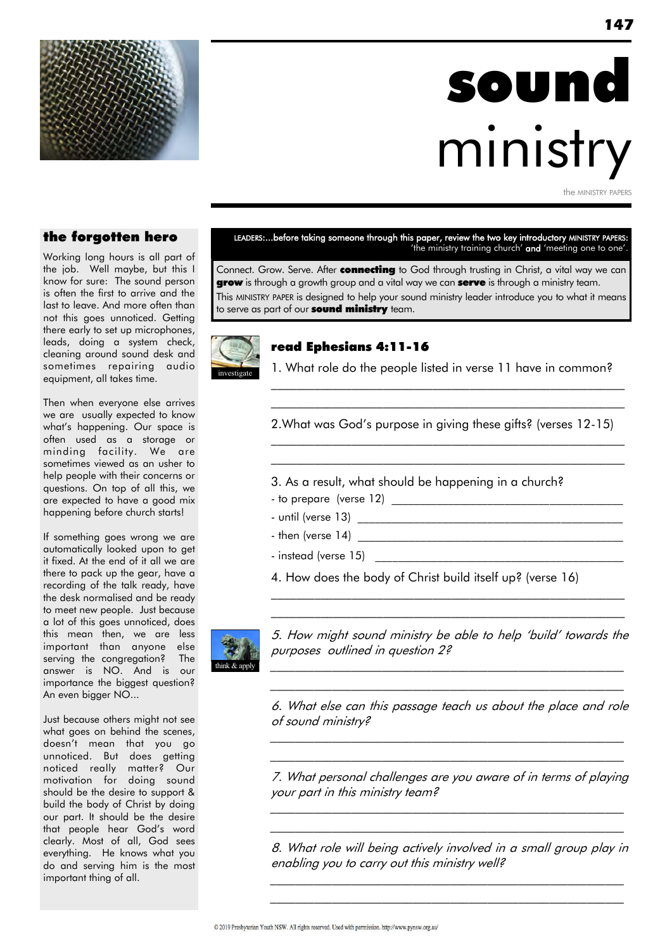

# sound ministry

the MINISTRY PAPER

#### the forgotten hero

Working long hours is all part of the job. Well maybe, but this I know for sure: The sound person is often the first to arrive and the last to leave. And more often than not this goes unnoticed. Getting there early to set up microphones, leads, doing a system check, cleaning around sound desk and sometimes repairing audio equipment, all takes time.

Then when everyone else arrives we are usually expected to know what"s happening. Our space is often used as a storage or minding facility. We are sometimes viewed as an usher to help people with their concerns or questions. On top of all this, we are expected to have a good mix happening before church starts!

If something goes wrong we are automatically looked upon to get it fixed. At the end of it all we are there to pack up the gear, have a recording of the talk ready, have the desk normalised and be ready to meet new people. Just because a lot of this goes unnoticed, does this mean then, we are less important than anyone else serving the congregation? The answer is NO. And is our importance the biggest question? An even bigger NO...

Just because others might not see what goes on behind the scenes, doesn"t mean that you go unnoticed. But does getting noticed really matter? Our motivation for doing sound should be the desire to support & build the body of Christ by doing our part. It should be the desire that people hear God's word clearly. Most of all, God sees everything. He knows what you do and serving him is the most important thing of all.

#### LEADERS:...before taking someone through this paper, review the two key introductory MINISTRY PAPERS: 'the ministry training church' and 'meeting one to one'.

Connect. Grow. Serve. After **connecting** to God through trusting in Christ, a vital way we can grow is through a growth group and a vital way we can serve is through a ministry team. This MINISTRY PAPER is designed to help your sound ministry leader introduce you to what it means to serve as part of our **sound ministry** team.



#### read Ephesians 4:11-16

1. What role do the people listed in verse 11 have in common? \_\_\_\_\_\_\_\_\_\_\_\_\_\_\_\_\_\_\_\_\_\_\_\_\_\_\_\_\_\_\_\_\_\_\_\_\_\_\_\_\_\_\_\_\_\_\_\_\_\_\_\_\_\_\_\_\_

\_\_\_\_\_\_\_\_\_\_\_\_\_\_\_\_\_\_\_\_\_\_\_\_\_\_\_\_\_\_\_\_\_\_\_\_\_\_\_\_\_\_\_\_\_\_\_\_\_\_\_\_\_\_\_\_\_

2.What was God's purpose in giving these gifts? (verses 12-15)  $\mathcal{L}_\text{max}$  and the contract of the contract of the contract of the contract of the contract of the contract of

\_\_\_\_\_\_\_\_\_\_\_\_\_\_\_\_\_\_\_\_\_\_\_\_\_\_\_\_\_\_\_\_\_\_\_\_\_\_\_\_\_\_\_\_\_\_\_\_\_\_\_\_\_\_\_\_\_

3. As a result, what should be happening in a church?

- to prepare (verse 12) \_\_\_\_\_\_\_\_\_\_\_\_\_\_\_\_\_\_\_\_\_\_\_\_\_\_\_\_\_\_\_\_\_\_\_\_\_\_\_\_\_
- until (verse 13) \_\_\_\_\_\_\_\_\_\_\_\_\_\_\_\_\_\_\_\_\_\_\_\_\_\_\_\_\_\_\_\_\_\_\_\_\_\_\_\_\_\_\_\_\_\_\_
- $-$  then (verse  $14$ )
- instead (verse 15)
- 4. How does the body of Christ build itself up? (verse 16)



5. How might sound ministry be able to help "build" towards the purposes outlined in question 2?

\_\_\_\_\_\_\_\_\_\_\_\_\_\_\_\_\_\_\_\_\_\_\_\_\_\_\_\_\_\_\_\_\_\_\_\_\_\_\_\_\_\_\_\_\_\_\_\_\_\_\_\_\_\_\_\_\_ \_\_\_\_\_\_\_\_\_\_\_\_\_\_\_\_\_\_\_\_\_\_\_\_\_\_\_\_\_\_\_\_\_\_\_\_\_\_\_\_\_\_\_\_\_\_\_\_\_\_\_\_\_\_\_\_\_

\_\_\_\_\_\_\_\_\_\_\_\_\_\_\_\_\_\_\_\_\_\_\_\_\_\_\_\_\_\_\_\_\_\_\_\_\_\_\_\_\_\_\_\_\_\_\_\_\_\_\_\_\_\_\_\_\_  $\mathcal{L}_\text{max}$  and the contract of the contract of the contract of the contract of the contract of the contract of

6. What else can this passage teach us about the place and role of sound ministry?

\_\_\_\_\_\_\_\_\_\_\_\_\_\_\_\_\_\_\_\_\_\_\_\_\_\_\_\_\_\_\_\_\_\_\_\_\_\_\_\_\_\_\_\_\_\_\_\_\_\_\_\_\_\_\_\_\_ \_\_\_\_\_\_\_\_\_\_\_\_\_\_\_\_\_\_\_\_\_\_\_\_\_\_\_\_\_\_\_\_\_\_\_\_\_\_\_\_\_\_\_\_\_\_\_\_\_\_\_\_\_\_\_\_\_

7. What personal challenges are you aware of in terms of playing your part in this ministry team?

\_\_\_\_\_\_\_\_\_\_\_\_\_\_\_\_\_\_\_\_\_\_\_\_\_\_\_\_\_\_\_\_\_\_\_\_\_\_\_\_\_\_\_\_\_\_\_\_\_\_\_\_\_\_\_\_\_ \_\_\_\_\_\_\_\_\_\_\_\_\_\_\_\_\_\_\_\_\_\_\_\_\_\_\_\_\_\_\_\_\_\_\_\_\_\_\_\_\_\_\_\_\_\_\_\_\_\_\_\_\_\_\_\_\_

8. What role will being actively involved in a small group play in enabling you to carry out this ministry well?

\_\_\_\_\_\_\_\_\_\_\_\_\_\_\_\_\_\_\_\_\_\_\_\_\_\_\_\_\_\_\_\_\_\_\_\_\_\_\_\_\_\_\_\_\_\_\_\_\_\_\_\_\_\_\_\_\_ \_\_\_\_\_\_\_\_\_\_\_\_\_\_\_\_\_\_\_\_\_\_\_\_\_\_\_\_\_\_\_\_\_\_\_\_\_\_\_\_\_\_\_\_\_\_\_\_\_\_\_\_\_\_\_\_\_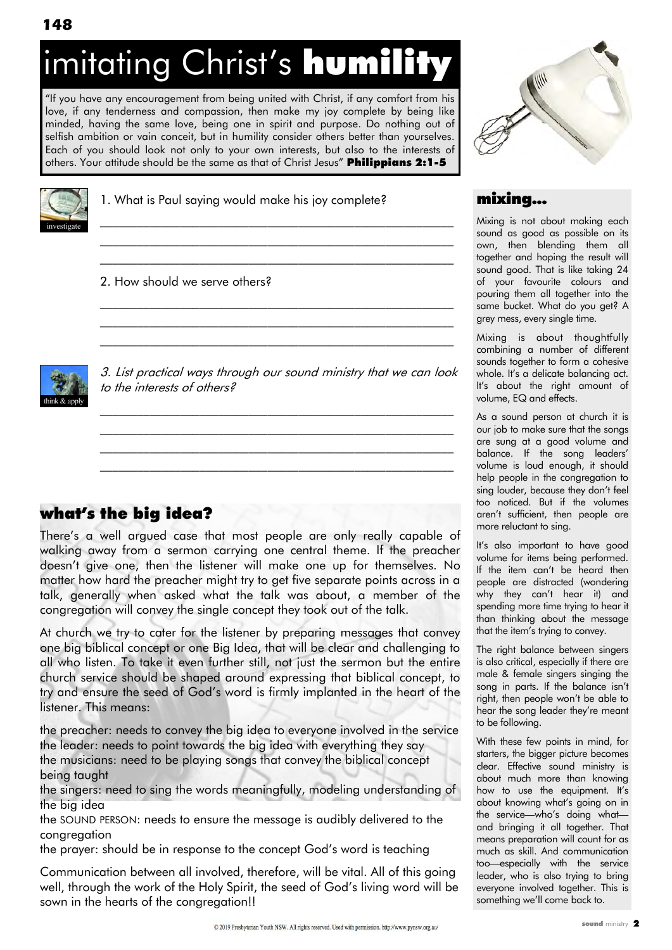# imitating Christ's humility

"If you have any encouragement from being united with Christ, if any comfort from his love, if any tenderness and compassion, then make my joy complete by being like minded, having the same love, being one in spirit and purpose. Do nothing out of selfish ambition or vain conceit, but in humility consider others better than yourselves. Each of you should look not only to your own interests, but also to the interests of others. Your attitude should be the same as that of Christ Jesus" Philippians 2:1-5



1. What is Paul saying would make his joy complete?

#### 2. How should we serve others?



3. List practical ways through our sound ministry that we can look to the interests of others?

 $\mathcal{L}_\text{max}$  and the contract of the contract of the contract of the contract of the contract of the contract of \_\_\_\_\_\_\_\_\_\_\_\_\_\_\_\_\_\_\_\_\_\_\_\_\_\_\_\_\_\_\_\_\_\_\_\_\_\_\_\_\_\_\_\_\_\_\_\_\_\_\_\_\_\_\_\_\_ \_\_\_\_\_\_\_\_\_\_\_\_\_\_\_\_\_\_\_\_\_\_\_\_\_\_\_\_\_\_\_\_\_\_\_\_\_\_\_\_\_\_\_\_\_\_\_\_\_\_\_\_\_\_\_\_\_ \_\_\_\_\_\_\_\_\_\_\_\_\_\_\_\_\_\_\_\_\_\_\_\_\_\_\_\_\_\_\_\_\_\_\_\_\_\_\_\_\_\_\_\_\_\_\_\_\_\_\_\_\_\_\_\_\_

\_\_\_\_\_\_\_\_\_\_\_\_\_\_\_\_\_\_\_\_\_\_\_\_\_\_\_\_\_\_\_\_\_\_\_\_\_\_\_\_\_\_\_\_\_\_\_\_\_\_\_\_\_\_\_\_\_ \_\_\_\_\_\_\_\_\_\_\_\_\_\_\_\_\_\_\_\_\_\_\_\_\_\_\_\_\_\_\_\_\_\_\_\_\_\_\_\_\_\_\_\_\_\_\_\_\_\_\_\_\_\_\_\_\_ \_\_\_\_\_\_\_\_\_\_\_\_\_\_\_\_\_\_\_\_\_\_\_\_\_\_\_\_\_\_\_\_\_\_\_\_\_\_\_\_\_\_\_\_\_\_\_\_\_\_\_\_\_\_\_\_\_

 $\mathcal{L}_\text{max}$  and the contract of the contract of the contract of the contract of the contract of the contract of  $\mathcal{L}_\text{max}$  and the contract of the contract of the contract of the contract of the contract of the contract of  $\mathcal{L}_\text{max}$  and the contract of the contract of the contract of the contract of the contract of the contract of

# what's the big idea?

There"s a well argued case that most people are only really capable of walking away from a sermon carrying one central theme. If the preacher doesn"t give one, then the listener will make one up for themselves. No matter how hard the preacher might try to get five separate points across in a talk, generally when asked what the talk was about, a member of the congregation will convey the single concept they took out of the talk.

At church we try to cater for the listener by preparing messages that convey one big biblical concept or one Big Idea, that will be clear and challenging to all who listen. To take it even further still, not just the sermon but the entire church service should be shaped around expressing that biblical concept, to try and ensure the seed of God"s word is firmly implanted in the heart of the listener. This means:

the preacher: needs to convey the big idea to everyone involved in the service the leader: needs to point towards the big idea with everything they say the musicians: need to be playing songs that convey the biblical concept being taught

the singers: need to sing the words meaningfully, modeling understanding of the big idea

the SOUND PERSON: needs to ensure the message is audibly delivered to the congregation

the prayer: should be in response to the concept God"s word is teaching

Communication between all involved, therefore, will be vital. All of this going well, through the work of the Holy Spirit, the seed of God's living word will be sown in the hearts of the congregation!!



#### mixing...

Mixing is not about making each sound as good as possible on its own, then blending them all together and hoping the result will sound good. That is like taking 24 of your favourite colours and pouring them all together into the same bucket. What do you get? A grey mess, every single time.

Mixing is about thoughtfully combining a number of different sounds together to form a cohesive whole. It's a delicate balancing act. It's about the right amount of volume, EQ and effects.

As a sound person at church it is our job to make sure that the songs are sung at a good volume and balance. If the song leaders' volume is loud enough, it should help people in the congregation to sing louder, because they don"t feel too noticed. But if the volumes aren"t sufficient, then people are more reluctant to sing.

It"s also important to have good volume for items being performed. If the item can't be heard then people are distracted (wondering why they can"t hear it) and spending more time trying to hear it than thinking about the message that the item's trying to convey.

The right balance between singers is also critical, especially if there are male & female singers singing the song in parts. If the balance isn't right, then people won"t be able to hear the song leader they're meant to be following.

With these few points in mind, for starters, the bigger picture becomes clear. Effective sound ministry is about much more than knowing how to use the equipment. It's about knowing what"s going on in the service—who's doing what and bringing it all together. That means preparation will count for as much as skill. And communication too—especially with the service leader, who is also trying to bring everyone involved together. This is something we"ll come back to.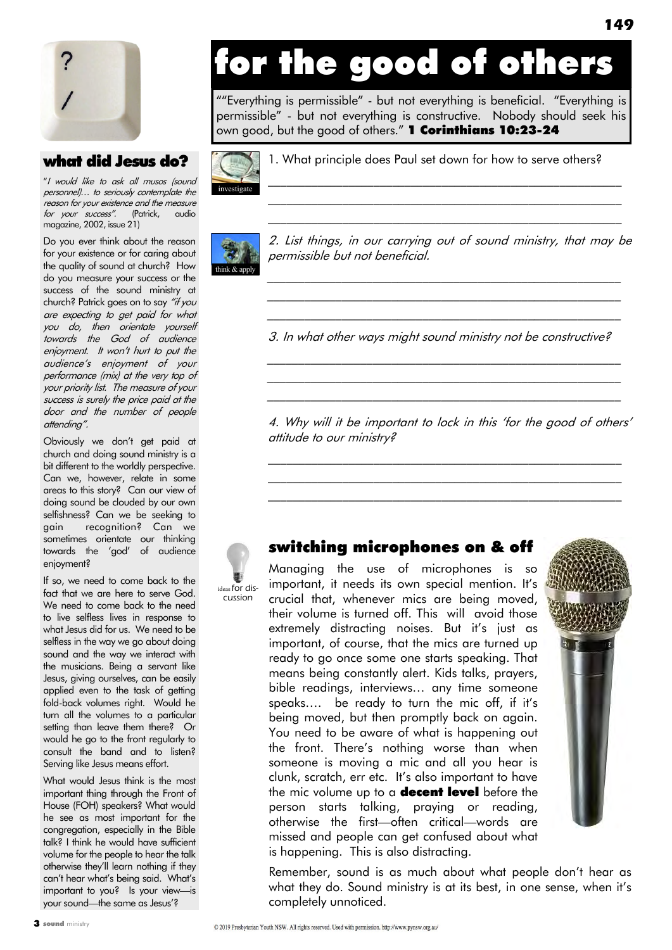

#### what did Jesus do?

"I would like to ask all musos (sound personnel)… to seriously contemplate the reason for your existence and the measure for your success". (Patrick, audio magazine, 2002, issue 21)

Do you ever think about the reason for your existence or for caring about the quality of sound at church? How do you measure your success or the success of the sound ministry at church? Patrick goes on to say "if you are expecting to get paid for what you do, then orientate yourself towards the God of audience enjoyment. It won't hurt to put the audience"s enjoyment of your performance (mix) at the very top of your priority list. The measure of your success is surely the price paid at the door and the number of people attending".

Obviously we don"t get paid at church and doing sound ministry is a bit different to the worldly perspective. Can we, however, relate in some areas to this story? Can our view of doing sound be clouded by our own selfishness? Can we be seeking to gain recognition? Can we sometimes orientate our thinking towards the "god" of audience enjoyment?

If so, we need to come back to the fact that we are here to serve God. We need to come back to the need to live selfless lives in response to what Jesus did for us. We need to be selfless in the way we go about doing sound and the way we interact with the musicians. Being a servant like Jesus, giving ourselves, can be easily applied even to the task of getting fold-back volumes right. Would he turn all the volumes to a particular setting than leave them there? Or would he go to the front regularly to consult the band and to listen? Serving like Jesus means effort.

What would Jesus think is the most important thing through the Front of House (FOH) speakers? What would he see as most important for the congregation, especially in the Bible talk? I think he would have sufficient volume for the people to hear the talk otherwise they"ll learn nothing if they can't hear what's being said. What's important to you? Is your view—is your sound—the same as Jesus"?

# for the good of others

""Everything is permissible" - but not everything is beneficial. "Everything is permissible" - but not everything is constructive. Nobody should seek his own good, but the good of others." **1 Corinthians 10:23-24** 



1. What principle does Paul set down for how to serve others?



leas for discussion

2. List things, in our carrying out of sound ministry, that may be permissible but not beneficial.

\_\_\_\_\_\_\_\_\_\_\_\_\_\_\_\_\_\_\_\_\_\_\_\_\_\_\_\_\_\_\_\_\_\_\_\_\_\_\_\_\_\_\_\_\_\_\_\_\_\_\_\_\_\_\_\_\_ \_\_\_\_\_\_\_\_\_\_\_\_\_\_\_\_\_\_\_\_\_\_\_\_\_\_\_\_\_\_\_\_\_\_\_\_\_\_\_\_\_\_\_\_\_\_\_\_\_\_\_\_\_\_\_\_\_

 $\mathcal{L}_\text{max}$  and the contract of the contract of the contract of the contract of the contract of the contract of  $\mathcal{L}_\text{max}$  and the contract of the contract of the contract of the contract of the contract of the contract of  $\mathcal{L}_\text{max}$  and the contract of the contract of the contract of the contract of the contract of the contract of

\_\_\_\_\_\_\_\_\_\_\_\_\_\_\_\_\_\_\_\_\_\_\_\_\_\_\_\_\_\_\_\_\_\_\_\_\_\_\_\_\_\_\_\_\_\_\_\_\_\_\_\_\_\_\_\_\_ 3. In what other ways might sound ministry not be constructive?

\_\_\_\_\_\_\_\_\_\_\_\_\_\_\_\_\_\_\_\_\_\_\_\_\_\_\_\_\_\_\_\_\_\_\_\_\_\_\_\_\_\_\_\_\_\_\_\_\_\_\_\_\_\_\_\_\_ \_\_\_\_\_\_\_\_\_\_\_\_\_\_\_\_\_\_\_\_\_\_\_\_\_\_\_\_\_\_\_\_\_\_\_\_\_\_\_\_\_\_\_\_\_\_\_\_\_\_\_\_\_\_\_\_\_ \_\_\_\_\_\_\_\_\_\_\_\_\_\_\_\_\_\_\_\_\_\_\_\_\_\_\_\_\_\_\_\_\_\_\_\_\_\_\_\_\_\_\_\_\_\_\_\_\_\_\_\_\_\_\_\_\_

4. Why will it be important to lock in this 'for the good of others' attitude to our ministry?

\_\_\_\_\_\_\_\_\_\_\_\_\_\_\_\_\_\_\_\_\_\_\_\_\_\_\_\_\_\_\_\_\_\_\_\_\_\_\_\_\_\_\_\_\_\_\_\_\_\_\_\_\_\_\_\_\_  $\mathcal{L}_\text{max}$  and the contract of the contract of the contract of the contract of the contract of the contract of  $\mathcal{L}_\text{max}$  and the contract of the contract of the contract of the contract of the contract of the contract of

#### switching microphones on & off

Managing the use of microphones is so important, it needs its own special mention. It's crucial that, whenever mics are being moved, their volume is turned off. This will avoid those extremely distracting noises. But it's just as important, of course, that the mics are turned up ready to go once some one starts speaking. That means being constantly alert. Kids talks, prayers, bible readings, interviews… any time someone speaks…. be ready to turn the mic off, if it"s being moved, but then promptly back on again. You need to be aware of what is happening out the front. There"s nothing worse than when someone is moving a mic and all you hear is clunk, scratch, err etc. It"s also important to have the mic volume up to a **decent level** before the person starts talking, praying or reading, otherwise the first—often critical—words are missed and people can get confused about what is happening. This is also distracting.

Remember, sound is as much about what people don"t hear as what they do. Sound ministry is at its best, in one sense, when it's completely unnoticed.